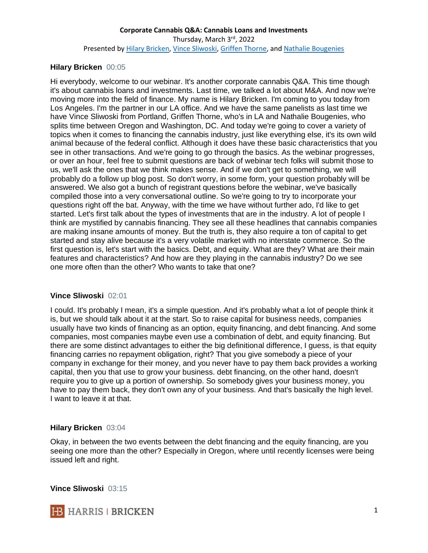### **Hilary Bricken** 00:05

Hi everybody, welcome to our webinar. It's another corporate cannabis Q&A. This time though it's about cannabis loans and investments. Last time, we talked a lot about M&A. And now we're moving more into the field of finance. My name is Hilary Bricken. I'm coming to you today from Los Angeles. I'm the partner in our LA office. And we have the same panelists as last time we have Vince Sliwoski from Portland, Griffen Thorne, who's in LA and Nathalie Bougenies, who splits time between Oregon and Washington, DC. And today we're going to cover a variety of topics when it comes to financing the cannabis industry, just like everything else, it's its own wild animal because of the federal conflict. Although it does have these basic characteristics that you see in other transactions. And we're going to go through the basics. As the webinar progresses, or over an hour, feel free to submit questions are back of webinar tech folks will submit those to us, we'll ask the ones that we think makes sense. And if we don't get to something, we will probably do a follow up blog post. So don't worry, in some form, your question probably will be answered. We also got a bunch of registrant questions before the webinar, we've basically compiled those into a very conversational outline. So we're going to try to incorporate your questions right off the bat. Anyway, with the time we have without further ado, I'd like to get started. Let's first talk about the types of investments that are in the industry. A lot of people I think are mystified by cannabis financing. They see all these headlines that cannabis companies are making insane amounts of money. But the truth is, they also require a ton of capital to get started and stay alive because it's a very volatile market with no interstate commerce. So the first question is, let's start with the basics. Debt, and equity. What are they? What are their main features and characteristics? And how are they playing in the cannabis industry? Do we see one more often than the other? Who wants to take that one?

#### **Vince Sliwoski** 02:01

I could. It's probably I mean, it's a simple question. And it's probably what a lot of people think it is, but we should talk about it at the start. So to raise capital for business needs, companies usually have two kinds of financing as an option, equity financing, and debt financing. And some companies, most companies maybe even use a combination of debt, and equity financing. But there are some distinct advantages to either the big definitional difference, I guess, is that equity financing carries no repayment obligation, right? That you give somebody a piece of your company in exchange for their money, and you never have to pay them back provides a working capital, then you that use to grow your business. debt financing, on the other hand, doesn't require you to give up a portion of ownership. So somebody gives your business money, you have to pay them back, they don't own any of your business. And that's basically the high level. I want to leave it at that.

#### **Hilary Bricken** 03:04

Okay, in between the two events between the debt financing and the equity financing, are you seeing one more than the other? Especially in Oregon, where until recently licenses were being issued left and right.

**Vince Sliwoski** 03:15

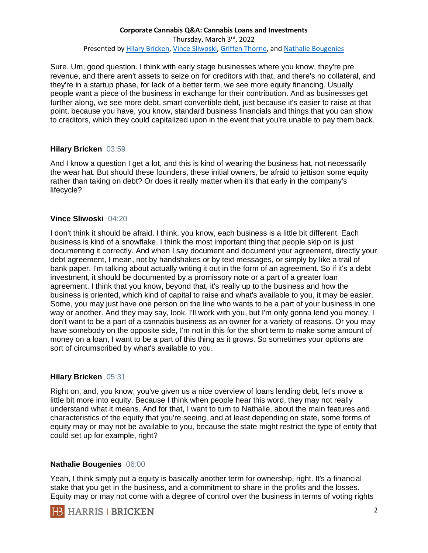Sure. Um, good question. I think with early stage businesses where you know, they're pre revenue, and there aren't assets to seize on for creditors with that, and there's no collateral, and they're in a startup phase, for lack of a better term, we see more equity financing. Usually people want a piece of the business in exchange for their contribution. And as businesses get further along, we see more debt, smart convertible debt, just because it's easier to raise at that point, because you have, you know, standard business financials and things that you can show to creditors, which they could capitalized upon in the event that you're unable to pay them back.

### **Hilary Bricken** 03:59

And I know a question I get a lot, and this is kind of wearing the business hat, not necessarily the wear hat. But should these founders, these initial owners, be afraid to jettison some equity rather than taking on debt? Or does it really matter when it's that early in the company's lifecycle?

### **Vince Sliwoski** 04:20

I don't think it should be afraid. I think, you know, each business is a little bit different. Each business is kind of a snowflake. I think the most important thing that people skip on is just documenting it correctly. And when I say document and document your agreement, directly your debt agreement, I mean, not by handshakes or by text messages, or simply by like a trail of bank paper. I'm talking about actually writing it out in the form of an agreement. So if it's a debt investment, it should be documented by a promissory note or a part of a greater loan agreement. I think that you know, beyond that, it's really up to the business and how the business is oriented, which kind of capital to raise and what's available to you, it may be easier. Some, you may just have one person on the line who wants to be a part of your business in one way or another. And they may say, look, I'll work with you, but I'm only gonna lend you money, I don't want to be a part of a cannabis business as an owner for a variety of reasons. Or you may have somebody on the opposite side, I'm not in this for the short term to make some amount of money on a loan, I want to be a part of this thing as it grows. So sometimes your options are sort of circumscribed by what's available to you.

#### **Hilary Bricken** 05:31

Right on, and, you know, you've given us a nice overview of loans lending debt, let's move a little bit more into equity. Because I think when people hear this word, they may not really understand what it means. And for that, I want to turn to Nathalie, about the main features and characteristics of the equity that you're seeing, and at least depending on state, some forms of equity may or may not be available to you, because the state might restrict the type of entity that could set up for example, right?

# **Nathalie Bougenies** 06:00

Yeah, I think simply put a equity is basically another term for ownership, right. It's a financial stake that you get in the business, and a commitment to share in the profits and the losses. Equity may or may not come with a degree of control over the business in terms of voting rights

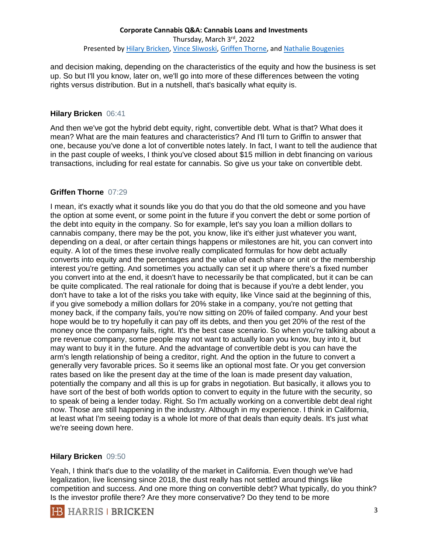and decision making, depending on the characteristics of the equity and how the business is set up. So but I'll you know, later on, we'll go into more of these differences between the voting rights versus distribution. But in a nutshell, that's basically what equity is.

#### **Hilary Bricken** 06:41

And then we've got the hybrid debt equity, right, convertible debt. What is that? What does it mean? What are the main features and characteristics? And I'll turn to Griffin to answer that one, because you've done a lot of convertible notes lately. In fact, I want to tell the audience that in the past couple of weeks, I think you've closed about \$15 million in debt financing on various transactions, including for real estate for cannabis. So give us your take on convertible debt.

#### **Griffen Thorne** 07:29

I mean, it's exactly what it sounds like you do that you do that the old someone and you have the option at some event, or some point in the future if you convert the debt or some portion of the debt into equity in the company. So for example, let's say you loan a million dollars to cannabis company, there may be the pot, you know, like it's either just whatever you want, depending on a deal, or after certain things happens or milestones are hit, you can convert into equity. A lot of the times these involve really complicated formulas for how debt actually converts into equity and the percentages and the value of each share or unit or the membership interest you're getting. And sometimes you actually can set it up where there's a fixed number you convert into at the end, it doesn't have to necessarily be that complicated, but it can be can be quite complicated. The real rationale for doing that is because if you're a debt lender, you don't have to take a lot of the risks you take with equity, like Vince said at the beginning of this, if you give somebody a million dollars for 20% stake in a company, you're not getting that money back, if the company fails, you're now sitting on 20% of failed company. And your best hope would be to try hopefully it can pay off its debts, and then you get 20% of the rest of the money once the company fails, right. It's the best case scenario. So when you're talking about a pre revenue company, some people may not want to actually loan you know, buy into it, but may want to buy it in the future. And the advantage of convertible debt is you can have the arm's length relationship of being a creditor, right. And the option in the future to convert a generally very favorable prices. So it seems like an optional most fate. Or you get conversion rates based on like the present day at the time of the loan is made present day valuation, potentially the company and all this is up for grabs in negotiation. But basically, it allows you to have sort of the best of both worlds option to convert to equity in the future with the security, so to speak of being a lender today. Right. So I'm actually working on a convertible debt deal right now. Those are still happening in the industry. Although in my experience. I think in California, at least what I'm seeing today is a whole lot more of that deals than equity deals. It's just what we're seeing down here.

#### **Hilary Bricken** 09:50

Yeah, I think that's due to the volatility of the market in California. Even though we've had legalization, live licensing since 2018, the dust really has not settled around things like competition and success. And one more thing on convertible debt? What typically, do you think? Is the investor profile there? Are they more conservative? Do they tend to be more

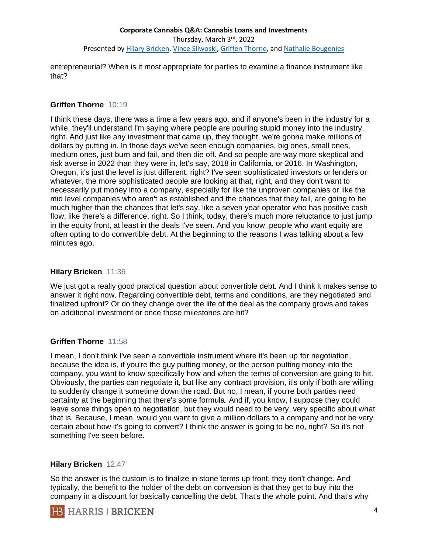entrepreneurial? When is it most appropriate for parties to examine a finance instrument like that?

### **Griffen Thorne** 10:19

I think these days, there was a time a few years ago, and if anyone's been in the industry for a while, they'll understand I'm saying where people are pouring stupid money into the industry, right. And just like any investment that came up, they thought, we're gonna make millions of dollars by putting in. In those days we've seen enough companies, big ones, small ones, medium ones, just burn and fail, and then die off. And so people are way more skeptical and risk averse in 2022 than they were in, let's say, 2018 in California, or 2016. In Washington, Oregon, it's just the level is just different, right? I've seen sophisticated investors or lenders or whatever, the more sophisticated people are looking at that, right, and they don't want to necessarily put money into a company, especially for like the unproven companies or like the mid level companies who aren't as established and the chances that they fail, are going to be much higher than the chances that let's say, like a seven year operator who has positive cash flow, like there's a difference, right. So I think, today, there's much more reluctance to just jump in the equity front, at least in the deals I've seen. And you know, people who want equity are often opting to do convertible debt. At the beginning to the reasons I was talking about a few minutes ago.

#### **Hilary Bricken** 11:36

We just got a really good practical question about convertible debt. And I think it makes sense to answer it right now. Regarding convertible debt, terms and conditions, are they negotiated and finalized upfront? Or do they change over the life of the deal as the company grows and takes on additional investment or once those milestones are hit?

# **Griffen Thorne** 11:58

I mean, I don't think I've seen a convertible instrument where it's been up for negotiation, because the idea is, if you're the guy putting money, or the person putting money into the company, you want to know specifically how and when the terms of conversion are going to hit. Obviously, the parties can negotiate it, but like any contract provision, it's only if both are willing to suddenly change it sometime down the road. But no, I mean, if you're both parties need certainty at the beginning that there's some formula. And if, you know, I suppose they could leave some things open to negotiation, but they would need to be very, very specific about what that is. Because, I mean, would you want to give a million dollars to a company and not be very certain about how it's going to convert? I think the answer is going to be no, right? So it's not something I've seen before.

#### **Hilary Bricken** 12:47

So the answer is the custom is to finalize in stone terms up front, they don't change. And typically, the benefit to the holder of the debt on conversion is that they get to buy into the company in a discount for basically cancelling the debt. That's the whole point. And that's why

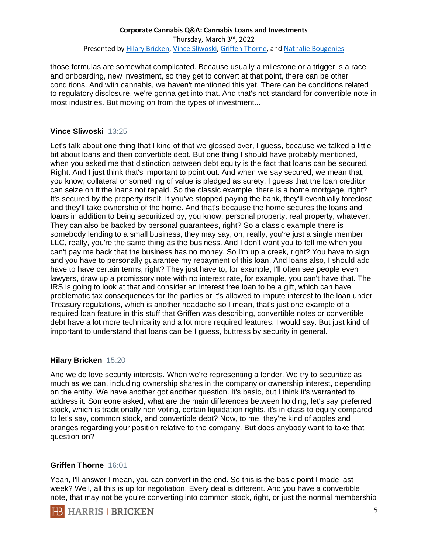those formulas are somewhat complicated. Because usually a milestone or a trigger is a race and onboarding, new investment, so they get to convert at that point, there can be other conditions. And with cannabis, we haven't mentioned this yet. There can be conditions related to regulatory disclosure, we're gonna get into that. And that's not standard for convertible note in most industries. But moving on from the types of investment...

### **Vince Sliwoski** 13:25

Let's talk about one thing that I kind of that we glossed over, I guess, because we talked a little bit about loans and then convertible debt. But one thing I should have probably mentioned, when you asked me that distinction between debt equity is the fact that loans can be secured. Right. And I just think that's important to point out. And when we say secured, we mean that, you know, collateral or something of value is pledged as surety, I guess that the loan creditor can seize on it the loans not repaid. So the classic example, there is a home mortgage, right? It's secured by the property itself. If you've stopped paying the bank, they'll eventually foreclose and they'll take ownership of the home. And that's because the home secures the loans and loans in addition to being securitized by, you know, personal property, real property, whatever. They can also be backed by personal guarantees, right? So a classic example there is somebody lending to a small business, they may say, oh, really, you're just a single member LLC, really, you're the same thing as the business. And I don't want you to tell me when you can't pay me back that the business has no money. So I'm up a creek, right? You have to sign and you have to personally guarantee my repayment of this loan. And loans also, I should add have to have certain terms, right? They just have to, for example, I'll often see people even lawyers, draw up a promissory note with no interest rate, for example, you can't have that. The IRS is going to look at that and consider an interest free loan to be a gift, which can have problematic tax consequences for the parties or it's allowed to impute interest to the loan under Treasury regulations, which is another headache so I mean, that's just one example of a required loan feature in this stuff that Griffen was describing, convertible notes or convertible debt have a lot more technicality and a lot more required features, I would say. But just kind of important to understand that loans can be I guess, buttress by security in general.

#### **Hilary Bricken** 15:20

And we do love security interests. When we're representing a lender. We try to securitize as much as we can, including ownership shares in the company or ownership interest, depending on the entity. We have another got another question. It's basic, but I think it's warranted to address it. Someone asked, what are the main differences between holding, let's say preferred stock, which is traditionally non voting, certain liquidation rights, it's in class to equity compared to let's say, common stock, and convertible debt? Now, to me, they're kind of apples and oranges regarding your position relative to the company. But does anybody want to take that question on?

#### **Griffen Thorne** 16:01

Yeah, I'll answer I mean, you can convert in the end. So this is the basic point I made last week? Well, all this is up for negotiation. Every deal is different. And you have a convertible note, that may not be you're converting into common stock, right, or just the normal membership

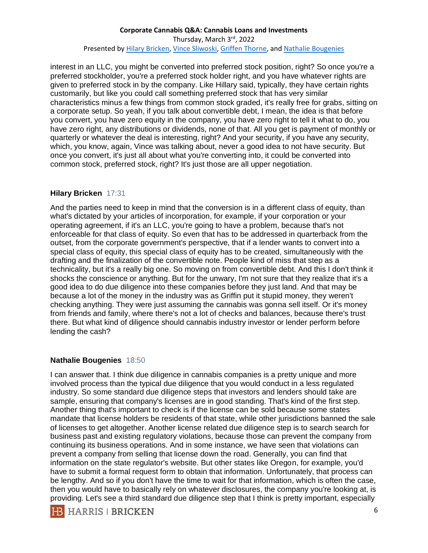interest in an LLC, you might be converted into preferred stock position, right? So once you're a preferred stockholder, you're a preferred stock holder right, and you have whatever rights are given to preferred stock in by the company. Like Hillary said, typically, they have certain rights customarily, but like you could call something preferred stock that has very similar characteristics minus a few things from common stock graded, it's really free for grabs, sitting on a corporate setup. So yeah, if you talk about convertible debt, I mean, the idea is that before you convert, you have zero equity in the company, you have zero right to tell it what to do, you have zero right, any distributions or dividends, none of that. All you get is payment of monthly or quarterly or whatever the deal is interesting, right? And your security, if you have any security, which, you know, again, Vince was talking about, never a good idea to not have security. But once you convert, it's just all about what you're converting into, it could be converted into common stock, preferred stock, right? It's just those are all upper negotiation.

### **Hilary Bricken** 17:31

And the parties need to keep in mind that the conversion is in a different class of equity, than what's dictated by your articles of incorporation, for example, if your corporation or your operating agreement, if it's an LLC, you're going to have a problem, because that's not enforceable for that class of equity. So even that has to be addressed in quarterback from the outset, from the corporate government's perspective, that if a lender wants to convert into a special class of equity, this special class of equity has to be created, simultaneously with the drafting and the finalization of the convertible note. People kind of miss that step as a technicality, but it's a really big one. So moving on from convertible debt. And this I don't think it shocks the conscience or anything. But for the unwary, I'm not sure that they realize that it's a good idea to do due diligence into these companies before they just land. And that may be because a lot of the money in the industry was as Griffin put it stupid money, they weren't checking anything. They were just assuming the cannabis was gonna sell itself. Or it's money from friends and family, where there's not a lot of checks and balances, because there's trust there. But what kind of diligence should cannabis industry investor or lender perform before lending the cash?

# **Nathalie Bougenies** 18:50

I can answer that. I think due diligence in cannabis companies is a pretty unique and more involved process than the typical due diligence that you would conduct in a less regulated industry. So some standard due diligence steps that investors and lenders should take are sample, ensuring that company's licenses are in good standing. That's kind of the first step. Another thing that's important to check is if the license can be sold because some states mandate that license holders be residents of that state, while other jurisdictions banned the sale of licenses to get altogether. Another license related due diligence step is to search search for business past and existing regulatory violations, because those can prevent the company from continuing its business operations. And in some instance, we have seen that violations can prevent a company from selling that license down the road. Generally, you can find that information on the state regulator's website. But other states like Oregon, for example, you'd have to submit a formal request form to obtain that information. Unfortunately, that process can be lengthy. And so if you don't have the time to wait for that information, which is often the case, then you would have to basically rely on whatever disclosures, the company you're looking at, is providing. Let's see a third standard due diligence step that I think is pretty important, especially

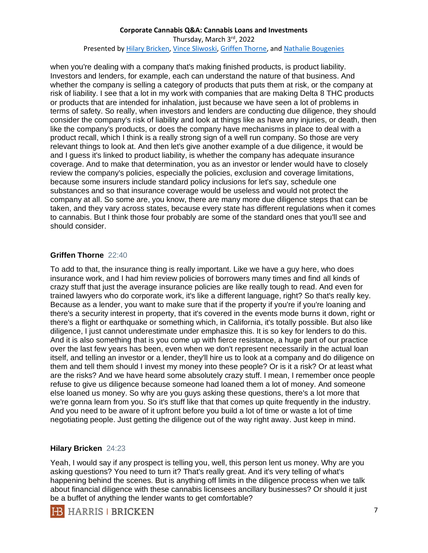when you're dealing with a company that's making finished products, is product liability. Investors and lenders, for example, each can understand the nature of that business. And whether the company is selling a category of products that puts them at risk, or the company at risk of liability. I see that a lot in my work with companies that are making Delta 8 THC products or products that are intended for inhalation, just because we have seen a lot of problems in terms of safety. So really, when investors and lenders are conducting due diligence, they should consider the company's risk of liability and look at things like as have any injuries, or death, then like the company's products, or does the company have mechanisms in place to deal with a product recall, which I think is a really strong sign of a well run company. So those are very relevant things to look at. And then let's give another example of a due diligence, it would be and I guess it's linked to product liability, is whether the company has adequate insurance coverage. And to make that determination, you as an investor or lender would have to closely review the company's policies, especially the policies, exclusion and coverage limitations, because some insurers include standard policy inclusions for let's say, schedule one substances and so that insurance coverage would be useless and would not protect the company at all. So some are, you know, there are many more due diligence steps that can be taken, and they vary across states, because every state has different regulations when it comes to cannabis. But I think those four probably are some of the standard ones that you'll see and should consider.

# **Griffen Thorne** 22:40

To add to that, the insurance thing is really important. Like we have a guy here, who does insurance work, and I had him review policies of borrowers many times and find all kinds of crazy stuff that just the average insurance policies are like really tough to read. And even for trained lawyers who do corporate work, it's like a different language, right? So that's really key. Because as a lender, you want to make sure that if the property if you're if you're loaning and there's a security interest in property, that it's covered in the events mode burns it down, right or there's a flight or earthquake or something which, in California, it's totally possible. But also like diligence, I just cannot underestimate under emphasize this. It is so key for lenders to do this. And it is also something that is you come up with fierce resistance, a huge part of our practice over the last few years has been, even when we don't represent necessarily in the actual loan itself, and telling an investor or a lender, they'll hire us to look at a company and do diligence on them and tell them should I invest my money into these people? Or is it a risk? Or at least what are the risks? And we have heard some absolutely crazy stuff. I mean, I remember once people refuse to give us diligence because someone had loaned them a lot of money. And someone else loaned us money. So why are you guys asking these questions, there's a lot more that we're gonna learn from you. So it's stuff like that that comes up quite frequently in the industry. And you need to be aware of it upfront before you build a lot of time or waste a lot of time negotiating people. Just getting the diligence out of the way right away. Just keep in mind.

# **Hilary Bricken** 24:23

Yeah, I would say if any prospect is telling you, well, this person lent us money. Why are you asking questions? You need to turn it? That's really great. And it's very telling of what's happening behind the scenes. But is anything off limits in the diligence process when we talk about financial diligence with these cannabis licensees ancillary businesses? Or should it just be a buffet of anything the lender wants to get comfortable?

**HB** HARRIS | BRICKEN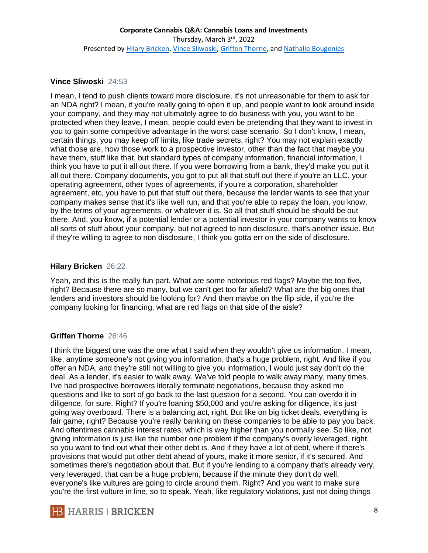#### **Vince Sliwoski** 24:53

I mean, I tend to push clients toward more disclosure, it's not unreasonable for them to ask for an NDA right? I mean, if you're really going to open it up, and people want to look around inside your company, and they may not ultimately agree to do business with you, you want to be protected when they leave, I mean, people could even be pretending that they want to invest in you to gain some competitive advantage in the worst case scenario. So I don't know, I mean, certain things, you may keep off limits, like trade secrets, right? You may not explain exactly what those are, how those work to a prospective investor, other than the fact that maybe you have them, stuff like that, but standard types of company information, financial information, I think you have to put it all out there. If you were borrowing from a bank, they'd make you put it all out there. Company documents, you got to put all that stuff out there if you're an LLC, your operating agreement, other types of agreements, if you're a corporation, shareholder agreement, etc, you have to put that stuff out there, because the lender wants to see that your company makes sense that it's like well run, and that you're able to repay the loan, you know, by the terms of your agreements, or whatever it is. So all that stuff should be should be out there. And, you know, if a potential lender or a potential investor in your company wants to know all sorts of stuff about your company, but not agreed to non disclosure, that's another issue. But if they're willing to agree to non disclosure, I think you gotta err on the side of disclosure.

# **Hilary Bricken** 26:22

Yeah, and this is the really fun part. What are some notorious red flags? Maybe the top five, right? Because there are so many, but we can't get too far afield? What are the big ones that lenders and investors should be looking for? And then maybe on the flip side, if you're the company looking for financing, what are red flags on that side of the aisle?

# **Griffen Thorne** 26:46

I think the biggest one was the one what I said when they wouldn't give us information. I mean, like, anytime someone's not giving you information, that's a huge problem, right. And like if you offer an NDA, and they're still not willing to give you information, I would just say don't do the deal. As a lender, it's easier to walk away. We've told people to walk away many, many times. I've had prospective borrowers literally terminate negotiations, because they asked me questions and like to sort of go back to the last question for a second. You can overdo it in diligence, for sure. Right? If you're loaning \$50,000 and you're asking for diligence, it's just going way overboard. There is a balancing act, right. But like on big ticket deals, everything is fair game, right? Because you're really banking on these companies to be able to pay you back. And oftentimes cannabis interest rates, which is way higher than you normally see. So like, not giving information is just like the number one problem if the company's overly leveraged, right, so you want to find out what their other debt is. And if they have a lot of debt, where if there's provisions that would put other debt ahead of yours, make it more senior, if it's secured. And sometimes there's negotiation about that. But if you're lending to a company that's already very, very leveraged, that can be a huge problem, because if the minute they don't do well, everyone's like vultures are going to circle around them. Right? And you want to make sure you're the first vulture in line, so to speak. Yeah, like regulatory violations, just not doing things

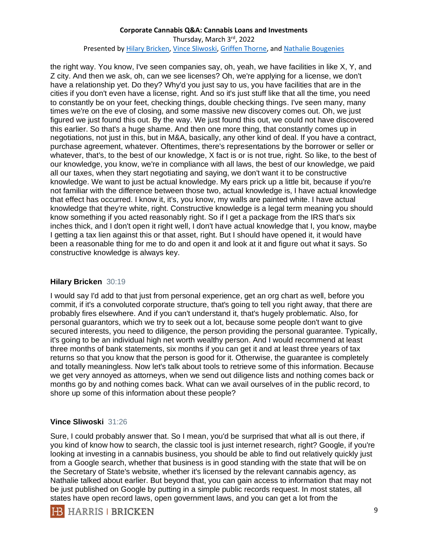the right way. You know, I've seen companies say, oh, yeah, we have facilities in like X, Y, and Z city. And then we ask, oh, can we see licenses? Oh, we're applying for a license, we don't have a relationship yet. Do they? Why'd you just say to us, you have facilities that are in the cities if you don't even have a license, right. And so it's just stuff like that all the time, you need to constantly be on your feet, checking things, double checking things. I've seen many, many times we're on the eve of closing, and some massive new discovery comes out. Oh, we just figured we just found this out. By the way. We just found this out, we could not have discovered this earlier. So that's a huge shame. And then one more thing, that constantly comes up in negotiations, not just in this, but in M&A, basically, any other kind of deal. If you have a contract, purchase agreement, whatever. Oftentimes, there's representations by the borrower or seller or whatever, that's, to the best of our knowledge, X fact is or is not true, right. So like, to the best of our knowledge, you know, we're in compliance with all laws, the best of our knowledge, we paid all our taxes, when they start negotiating and saying, we don't want it to be constructive knowledge. We want to just be actual knowledge. My ears prick up a little bit, because if you're not familiar with the difference between those two, actual knowledge is, I have actual knowledge that effect has occurred. I know it, it's, you know, my walls are painted white. I have actual knowledge that they're white, right. Constructive knowledge is a legal term meaning you should know something if you acted reasonably right. So if I get a package from the IRS that's six inches thick, and I don't open it right well, I don't have actual knowledge that I, you know, maybe I getting a tax lien against this or that asset, right. But I should have opened it, it would have been a reasonable thing for me to do and open it and look at it and figure out what it says. So constructive knowledge is always key.

# **Hilary Bricken** 30:19

I would say I'd add to that just from personal experience, get an org chart as well, before you commit, if it's a convoluted corporate structure, that's going to tell you right away, that there are probably fires elsewhere. And if you can't understand it, that's hugely problematic. Also, for personal guarantors, which we try to seek out a lot, because some people don't want to give secured interests, you need to diligence, the person providing the personal guarantee. Typically, it's going to be an individual high net worth wealthy person. And I would recommend at least three months of bank statements, six months if you can get it and at least three years of tax returns so that you know that the person is good for it. Otherwise, the guarantee is completely and totally meaningless. Now let's talk about tools to retrieve some of this information. Because we get very annoyed as attorneys, when we send out diligence lists and nothing comes back or months go by and nothing comes back. What can we avail ourselves of in the public record, to shore up some of this information about these people?

#### **Vince Sliwoski** 31:26

Sure, I could probably answer that. So I mean, you'd be surprised that what all is out there, if you kind of know how to search, the classic tool is just internet research, right? Google, if you're looking at investing in a cannabis business, you should be able to find out relatively quickly just from a Google search, whether that business is in good standing with the state that will be on the Secretary of State's website, whether it's licensed by the relevant cannabis agency, as Nathalie talked about earlier. But beyond that, you can gain access to information that may not be just published on Google by putting in a simple public records request. In most states, all states have open record laws, open government laws, and you can get a lot from the

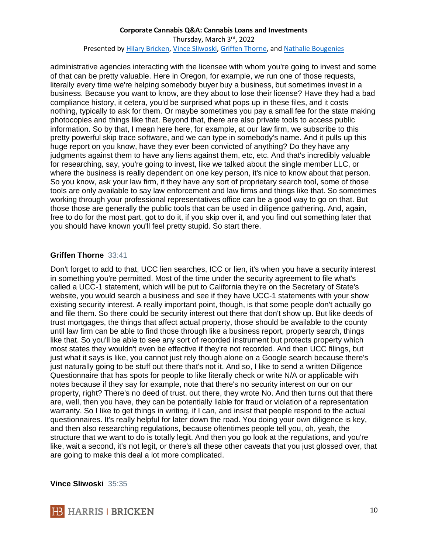administrative agencies interacting with the licensee with whom you're going to invest and some of that can be pretty valuable. Here in Oregon, for example, we run one of those requests, literally every time we're helping somebody buyer buy a business, but sometimes invest in a business. Because you want to know, are they about to lose their license? Have they had a bad compliance history, it cetera, you'd be surprised what pops up in these files, and it costs nothing, typically to ask for them. Or maybe sometimes you pay a small fee for the state making photocopies and things like that. Beyond that, there are also private tools to access public information. So by that, I mean here here, for example, at our law firm, we subscribe to this pretty powerful skip trace software, and we can type in somebody's name. And it pulls up this huge report on you know, have they ever been convicted of anything? Do they have any judgments against them to have any liens against them, etc, etc. And that's incredibly valuable for researching, say, you're going to invest, like we talked about the single member LLC, or where the business is really dependent on one key person, it's nice to know about that person. So you know, ask your law firm, if they have any sort of proprietary search tool, some of those tools are only available to say law enforcement and law firms and things like that. So sometimes working through your professional representatives office can be a good way to go on that. But those those are generally the public tools that can be used in diligence gathering. And, again, free to do for the most part, got to do it, if you skip over it, and you find out something later that you should have known you'll feel pretty stupid. So start there.

### **Griffen Thorne** 33:41

Don't forget to add to that, UCC lien searches, ICC or lien, it's when you have a security interest in something you're permitted. Most of the time under the security agreement to file what's called a UCC-1 statement, which will be put to California they're on the Secretary of State's website, you would search a business and see if they have UCC-1 statements with your show existing security interest. A really important point, though, is that some people don't actually go and file them. So there could be security interest out there that don't show up. But like deeds of trust mortgages, the things that affect actual property, those should be available to the county until law firm can be able to find those through like a business report, property search, things like that. So you'll be able to see any sort of recorded instrument but protects property which most states they wouldn't even be effective if they're not recorded. And then UCC filings, but just what it says is like, you cannot just rely though alone on a Google search because there's just naturally going to be stuff out there that's not it. And so, I like to send a written Diligence Questionnaire that has spots for people to like literally check or write N/A or applicable with notes because if they say for example, note that there's no security interest on our on our property, right? There's no deed of trust. out there, they wrote No. And then turns out that there are, well, then you have, they can be potentially liable for fraud or violation of a representation warranty. So I like to get things in writing, if I can, and insist that people respond to the actual questionnaires. It's really helpful for later down the road. You doing your own diligence is key, and then also researching regulations, because oftentimes people tell you, oh, yeah, the structure that we want to do is totally legit. And then you go look at the regulations, and you're like, wait a second, it's not legit, or there's all these other caveats that you just glossed over, that are going to make this deal a lot more complicated.

**Vince Sliwoski** 35:35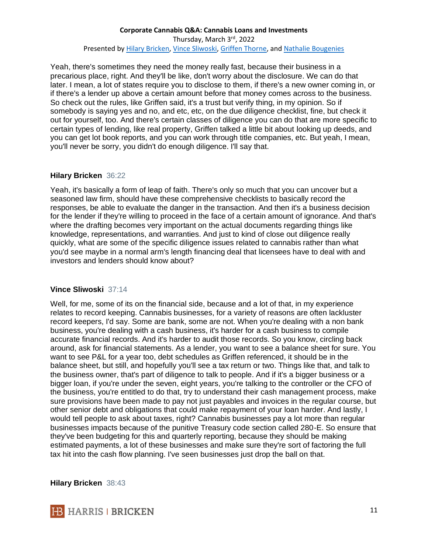Yeah, there's sometimes they need the money really fast, because their business in a precarious place, right. And they'll be like, don't worry about the disclosure. We can do that later. I mean, a lot of states require you to disclose to them, if there's a new owner coming in, or if there's a lender up above a certain amount before that money comes across to the business. So check out the rules, like Griffen said, it's a trust but verify thing, in my opinion. So if somebody is saying yes and no, and etc, etc, on the due diligence checklist, fine, but check it out for yourself, too. And there's certain classes of diligence you can do that are more specific to certain types of lending, like real property, Griffen talked a little bit about looking up deeds, and you can get lot book reports, and you can work through title companies, etc. But yeah, I mean, you'll never be sorry, you didn't do enough diligence. I'll say that.

### **Hilary Bricken** 36:22

Yeah, it's basically a form of leap of faith. There's only so much that you can uncover but a seasoned law firm, should have these comprehensive checklists to basically record the responses, be able to evaluate the danger in the transaction. And then it's a business decision for the lender if they're willing to proceed in the face of a certain amount of ignorance. And that's where the drafting becomes very important on the actual documents regarding things like knowledge, representations, and warranties. And just to kind of close out diligence really quickly, what are some of the specific diligence issues related to cannabis rather than what you'd see maybe in a normal arm's length financing deal that licensees have to deal with and investors and lenders should know about?

# **Vince Sliwoski** 37:14

Well, for me, some of its on the financial side, because and a lot of that, in my experience relates to record keeping. Cannabis businesses, for a variety of reasons are often lackluster record keepers, I'd say. Some are bank, some are not. When you're dealing with a non bank business, you're dealing with a cash business, it's harder for a cash business to compile accurate financial records. And it's harder to audit those records. So you know, circling back around, ask for financial statements. As a lender, you want to see a balance sheet for sure. You want to see P&L for a year too, debt schedules as Griffen referenced, it should be in the balance sheet, but still, and hopefully you'll see a tax return or two. Things like that, and talk to the business owner, that's part of diligence to talk to people. And if it's a bigger business or a bigger loan, if you're under the seven, eight years, you're talking to the controller or the CFO of the business, you're entitled to do that, try to understand their cash management process, make sure provisions have been made to pay not just payables and invoices in the regular course, but other senior debt and obligations that could make repayment of your loan harder. And lastly, I would tell people to ask about taxes, right? Cannabis businesses pay a lot more than regular businesses impacts because of the punitive Treasury code section called 280-E. So ensure that they've been budgeting for this and quarterly reporting, because they should be making estimated payments, a lot of these businesses and make sure they're sort of factoring the full tax hit into the cash flow planning. I've seen businesses just drop the ball on that.

#### **Hilary Bricken** 38:43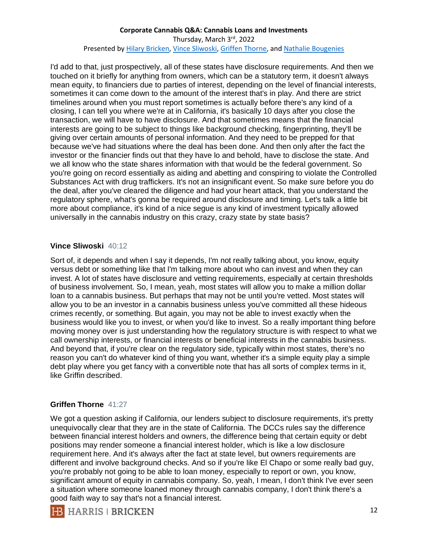I'd add to that, just prospectively, all of these states have disclosure requirements. And then we touched on it briefly for anything from owners, which can be a statutory term, it doesn't always mean equity, to financiers due to parties of interest, depending on the level of financial interests, sometimes it can come down to the amount of the interest that's in play. And there are strict timelines around when you must report sometimes is actually before there's any kind of a closing, I can tell you where we're at in California, it's basically 10 days after you close the transaction, we will have to have disclosure. And that sometimes means that the financial interests are going to be subject to things like background checking, fingerprinting, they'll be giving over certain amounts of personal information. And they need to be prepped for that because we've had situations where the deal has been done. And then only after the fact the investor or the financier finds out that they have lo and behold, have to disclose the state. And we all know who the state shares information with that would be the federal government. So you're going on record essentially as aiding and abetting and conspiring to violate the Controlled Substances Act with drug traffickers. It's not an insignificant event. So make sure before you do the deal, after you've cleared the diligence and had your heart attack, that you understand the regulatory sphere, what's gonna be required around disclosure and timing. Let's talk a little bit more about compliance, it's kind of a nice segue is any kind of investment typically allowed universally in the cannabis industry on this crazy, crazy state by state basis?

### **Vince Sliwoski** 40:12

Sort of, it depends and when I say it depends, I'm not really talking about, you know, equity versus debt or something like that I'm talking more about who can invest and when they can invest. A lot of states have disclosure and vetting requirements, especially at certain thresholds of business involvement. So, I mean, yeah, most states will allow you to make a million dollar loan to a cannabis business. But perhaps that may not be until you're vetted. Most states will allow you to be an investor in a cannabis business unless you've committed all these hideous crimes recently, or something. But again, you may not be able to invest exactly when the business would like you to invest, or when you'd like to invest. So a really important thing before moving money over is just understanding how the regulatory structure is with respect to what we call ownership interests, or financial interests or beneficial interests in the cannabis business. And beyond that, if you're clear on the regulatory side, typically within most states, there's no reason you can't do whatever kind of thing you want, whether it's a simple equity play a simple debt play where you get fancy with a convertible note that has all sorts of complex terms in it, like Griffin described.

# **Griffen Thorne** 41:27

We got a question asking if California, our lenders subject to disclosure requirements, it's pretty unequivocally clear that they are in the state of California. The DCCs rules say the difference between financial interest holders and owners, the difference being that certain equity or debt positions may render someone a financial interest holder, which is like a low disclosure requirement here. And it's always after the fact at state level, but owners requirements are different and involve background checks. And so if you're like El Chapo or some really bad guy, you're probably not going to be able to loan money, especially to report or own, you know, significant amount of equity in cannabis company. So, yeah, I mean, I don't think I've ever seen a situation where someone loaned money through cannabis company, I don't think there's a good faith way to say that's not a financial interest.

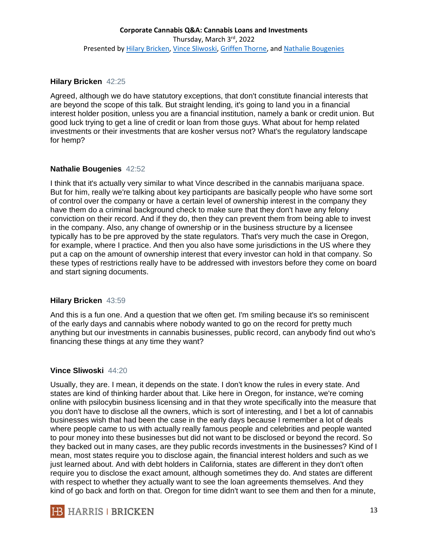#### **Hilary Bricken** 42:25

Agreed, although we do have statutory exceptions, that don't constitute financial interests that are beyond the scope of this talk. But straight lending, it's going to land you in a financial interest holder position, unless you are a financial institution, namely a bank or credit union. But good luck trying to get a line of credit or loan from those guys. What about for hemp related investments or their investments that are kosher versus not? What's the regulatory landscape for hemp?

### **Nathalie Bougenies** 42:52

I think that it's actually very similar to what Vince described in the cannabis marijuana space. But for him, really we're talking about key participants are basically people who have some sort of control over the company or have a certain level of ownership interest in the company they have them do a criminal background check to make sure that they don't have any felony conviction on their record. And if they do, then they can prevent them from being able to invest in the company. Also, any change of ownership or in the business structure by a licensee typically has to be pre approved by the state regulators. That's very much the case in Oregon, for example, where I practice. And then you also have some jurisdictions in the US where they put a cap on the amount of ownership interest that every investor can hold in that company. So these types of restrictions really have to be addressed with investors before they come on board and start signing documents.

#### **Hilary Bricken** 43:59

And this is a fun one. And a question that we often get. I'm smiling because it's so reminiscent of the early days and cannabis where nobody wanted to go on the record for pretty much anything but our investments in cannabis businesses, public record, can anybody find out who's financing these things at any time they want?

# **Vince Sliwoski** 44:20

Usually, they are. I mean, it depends on the state. I don't know the rules in every state. And states are kind of thinking harder about that. Like here in Oregon, for instance, we're coming online with psilocybin business licensing and in that they wrote specifically into the measure that you don't have to disclose all the owners, which is sort of interesting, and I bet a lot of cannabis businesses wish that had been the case in the early days because I remember a lot of deals where people came to us with actually really famous people and celebrities and people wanted to pour money into these businesses but did not want to be disclosed or beyond the record. So they backed out in many cases, are they public records investments in the businesses? Kind of I mean, most states require you to disclose again, the financial interest holders and such as we just learned about. And with debt holders in California, states are different in they don't often require you to disclose the exact amount, although sometimes they do. And states are different with respect to whether they actually want to see the loan agreements themselves. And they kind of go back and forth on that. Oregon for time didn't want to see them and then for a minute,

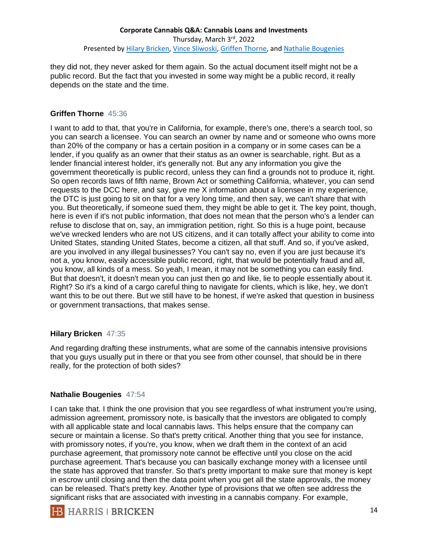they did not, they never asked for them again. So the actual document itself might not be a public record. But the fact that you invested in some way might be a public record, it really depends on the state and the time.

## **Griffen Thorne** 45:36

I want to add to that, that you're in California, for example, there's one, there's a search tool, so you can search a licensee. You can search an owner by name and or someone who owns more than 20% of the company or has a certain position in a company or in some cases can be a lender, if you qualify as an owner that their status as an owner is searchable, right. But as a lender financial interest holder, it's generally not. But any any information you give the government theoretically is public record, unless they can find a grounds not to produce it, right. So open records laws of fifth name, Brown Act or something California, whatever, you can send requests to the DCC here, and say, give me X information about a licensee in my experience, the DTC is just going to sit on that for a very long time, and then say, we can't share that with you. But theoretically, if someone sued them, they might be able to get it. The key point, though, here is even if it's not public information, that does not mean that the person who's a lender can refuse to disclose that on, say, an immigration petition, right. So this is a huge point, because we've wrecked lenders who are not US citizens, and it can totally affect your ability to come into United States, standing United States, become a citizen, all that stuff. And so, if you've asked, are you involved in any illegal businesses? You can't say no, even if you are just because it's not a, you know, easily accessible public record, right, that would be potentially fraud and all, you know, all kinds of a mess. So yeah, I mean, it may not be something you can easily find. But that doesn't, it doesn't mean you can just then go and like, lie to people essentially about it. Right? So it's a kind of a cargo careful thing to navigate for clients, which is like, hey, we don't want this to be out there. But we still have to be honest, if we're asked that question in business or government transactions, that makes sense.

#### **Hilary Bricken** 47:35

And regarding drafting these instruments, what are some of the cannabis intensive provisions that you guys usually put in there or that you see from other counsel, that should be in there really, for the protection of both sides?

# **Nathalie Bougenies** 47:54

I can take that. I think the one provision that you see regardless of what instrument you're using, admission agreement, promissory note, is basically that the investors are obligated to comply with all applicable state and local cannabis laws. This helps ensure that the company can secure or maintain a license. So that's pretty critical. Another thing that you see for instance, with promissory notes, if you're, you know, when we draft them in the context of an acid purchase agreement, that promissory note cannot be effective until you close on the acid purchase agreement. That's because you can basically exchange money with a licensee until the state has approved that transfer. So that's pretty important to make sure that money is kept in escrow until closing and then the data point when you get all the state approvals, the money can be released. That's pretty key. Another type of provisions that we often see address the significant risks that are associated with investing in a cannabis company. For example,

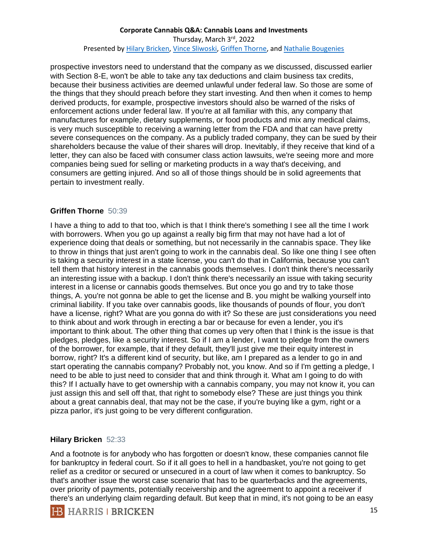prospective investors need to understand that the company as we discussed, discussed earlier with Section 8-E, won't be able to take any tax deductions and claim business tax credits, because their business activities are deemed unlawful under federal law. So those are some of the things that they should preach before they start investing. And then when it comes to hemp derived products, for example, prospective investors should also be warned of the risks of enforcement actions under federal law. If you're at all familiar with this, any company that manufactures for example, dietary supplements, or food products and mix any medical claims, is very much susceptible to receiving a warning letter from the FDA and that can have pretty severe consequences on the company. As a publicly traded company, they can be sued by their shareholders because the value of their shares will drop. Inevitably, if they receive that kind of a letter, they can also be faced with consumer class action lawsuits, we're seeing more and more companies being sued for selling or marketing products in a way that's deceiving, and consumers are getting injured. And so all of those things should be in solid agreements that pertain to investment really.

# **Griffen Thorne** 50:39

I have a thing to add to that too, which is that I think there's something I see all the time I work with borrowers. When you go up against a really big firm that may not have had a lot of experience doing that deals or something, but not necessarily in the cannabis space. They like to throw in things that just aren't going to work in the cannabis deal. So like one thing I see often is taking a security interest in a state license, you can't do that in California, because you can't tell them that history interest in the cannabis goods themselves. I don't think there's necessarily an interesting issue with a backup. I don't think there's necessarily an issue with taking security interest in a license or cannabis goods themselves. But once you go and try to take those things, A. you're not gonna be able to get the license and B. you might be walking yourself into criminal liability. If you take over cannabis goods, like thousands of pounds of flour, you don't have a license, right? What are you gonna do with it? So these are just considerations you need to think about and work through in erecting a bar or because for even a lender, you it's important to think about. The other thing that comes up very often that I think is the issue is that pledges, pledges, like a security interest. So if I am a lender, I want to pledge from the owners of the borrower, for example, that if they default, they'll just give me their equity interest in borrow, right? It's a different kind of security, but like, am I prepared as a lender to go in and start operating the cannabis company? Probably not, you know. And so if I'm getting a pledge, I need to be able to just need to consider that and think through it. What am I going to do with this? If I actually have to get ownership with a cannabis company, you may not know it, you can just assign this and sell off that, that right to somebody else? These are just things you think about a great cannabis deal, that may not be the case, if you're buying like a gym, right or a pizza parlor, it's just going to be very different configuration.

#### **Hilary Bricken** 52:33

And a footnote is for anybody who has forgotten or doesn't know, these companies cannot file for bankruptcy in federal court. So if it all goes to hell in a handbasket, you're not going to get relief as a creditor or secured or unsecured in a court of law when it comes to bankruptcy. So that's another issue the worst case scenario that has to be quarterbacks and the agreements, over priority of payments, potentially receivership and the agreement to appoint a receiver if there's an underlying claim regarding default. But keep that in mind, it's not going to be an easy

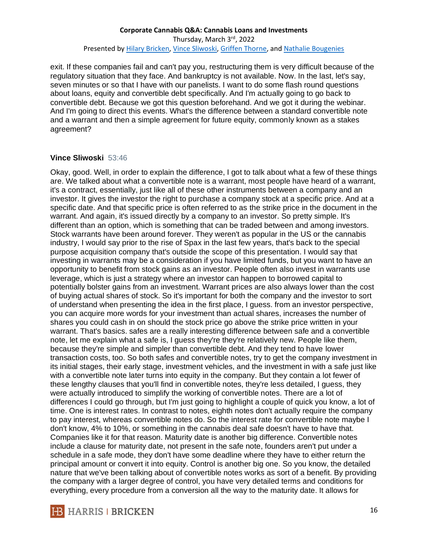exit. If these companies fail and can't pay you, restructuring them is very difficult because of the regulatory situation that they face. And bankruptcy is not available. Now. In the last, let's say, seven minutes or so that I have with our panelists. I want to do some flash round questions about loans, equity and convertible debt specifically. And I'm actually going to go back to convertible debt. Because we got this question beforehand. And we got it during the webinar. And I'm going to direct this events. What's the difference between a standard convertible note and a warrant and then a simple agreement for future equity, commonly known as a stakes agreement?

### **Vince Sliwoski** 53:46

Okay, good. Well, in order to explain the difference, I got to talk about what a few of these things are. We talked about what a convertible note is a warrant, most people have heard of a warrant, it's a contract, essentially, just like all of these other instruments between a company and an investor. It gives the investor the right to purchase a company stock at a specific price. And at a specific date. And that specific price is often referred to as the strike price in the document in the warrant. And again, it's issued directly by a company to an investor. So pretty simple. It's different than an option, which is something that can be traded between and among investors. Stock warrants have been around forever. They weren't as popular in the US or the cannabis industry, I would say prior to the rise of Spax in the last few years, that's back to the special purpose acquisition company that's outside the scope of this presentation. I would say that investing in warrants may be a consideration if you have limited funds, but you want to have an opportunity to benefit from stock gains as an investor. People often also invest in warrants use leverage, which is just a strategy where an investor can happen to borrowed capital to potentially bolster gains from an investment. Warrant prices are also always lower than the cost of buying actual shares of stock. So it's important for both the company and the investor to sort of understand when presenting the idea in the first place, I guess. from an investor perspective, you can acquire more words for your investment than actual shares, increases the number of shares you could cash in on should the stock price go above the strike price written in your warrant. That's basics. safes are a really interesting difference between safe and a convertible note, let me explain what a safe is, I guess they're they're relatively new. People like them, because they're simple and simpler than convertible debt. And they tend to have lower transaction costs, too. So both safes and convertible notes, try to get the company investment in its initial stages, their early stage, investment vehicles, and the investment in with a safe just like with a convertible note later turns into equity in the company. But they contain a lot fewer of these lengthy clauses that you'll find in convertible notes, they're less detailed, I guess, they were actually introduced to simplify the working of convertible notes. There are a lot of differences I could go through, but I'm just going to highlight a couple of quick you know, a lot of time. One is interest rates. In contrast to notes, eighth notes don't actually require the company to pay interest, whereas convertible notes do. So the interest rate for convertible note maybe I don't know, 4% to 10%, or something in the cannabis deal safe doesn't have to have that. Companies like it for that reason. Maturity date is another big difference. Convertible notes include a clause for maturity date, not present in the safe note, founders aren't put under a schedule in a safe mode, they don't have some deadline where they have to either return the principal amount or convert it into equity. Control is another big one. So you know, the detailed nature that we've been talking about of convertible notes works as sort of a benefit. By providing the company with a larger degree of control, you have very detailed terms and conditions for everything, every procedure from a conversion all the way to the maturity date. It allows for